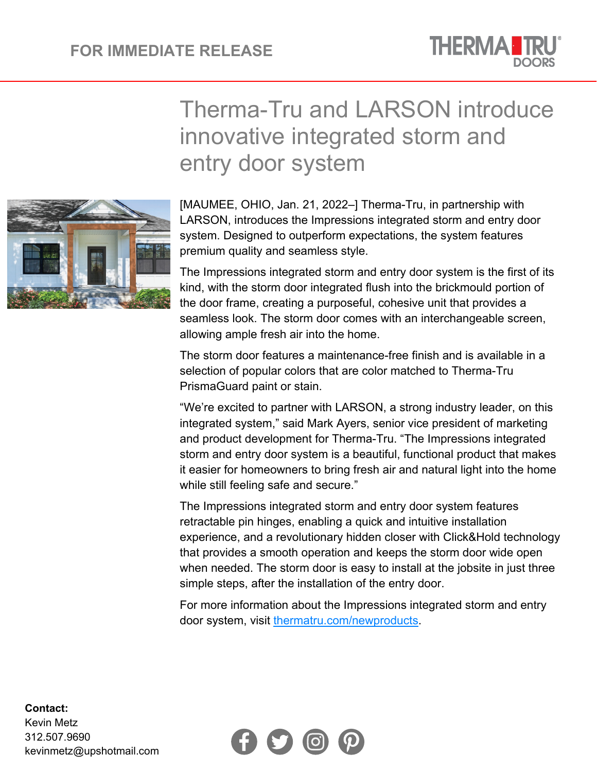

## Therma-Tru and LARSON introduce innovative integrated storm and entry door system



[MAUMEE, OHIO, Jan. 21, 2022–] Therma-Tru, in partnership with LARSON, introduces the Impressions integrated storm and entry door system. Designed to outperform expectations, the system features premium quality and seamless style.

The Impressions integrated storm and entry door system is the first of its kind, with the storm door integrated flush into the brickmould portion of the door frame, creating a purposeful, cohesive unit that provides a seamless look. The storm door comes with an interchangeable screen, allowing ample fresh air into the home.

The storm door features a maintenance-free finish and is available in a selection of popular colors that are color matched to Therma-Tru PrismaGuard paint or stain.

"We're excited to partner with LARSON, a strong industry leader, on this integrated system," said Mark Ayers, senior vice president of marketing and product development for Therma-Tru. "The Impressions integrated storm and entry door system is a beautiful, functional product that makes it easier for homeowners to bring fresh air and natural light into the home while still feeling safe and secure."

The Impressions integrated storm and entry door system features retractable pin hinges, enabling a quick and intuitive installation experience, and a revolutionary hidden closer with Click&Hold technology that provides a smooth operation and keeps the storm door wide open when needed. The storm door is easy to install at the jobsite in just three simple steps, after the installation of the entry door.

For more information about the Impressions integrated storm and entry door system, visit [thermatru.com/newproducts.](http://www.thermatru.com/newproducts)



## **Contact:**

Kevin Metz 312.507.9690 kevinmetz@upshotmail.com